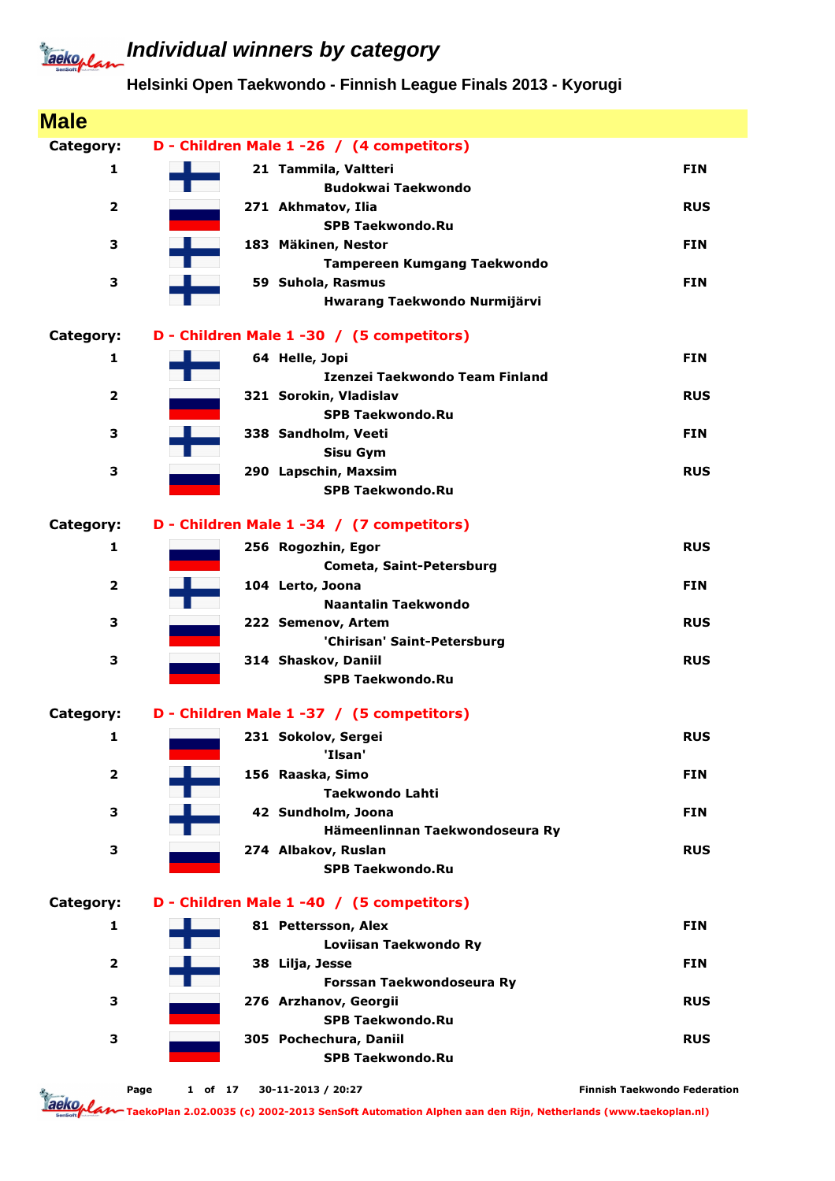#### **Helsinki Open Taekwondo - Finnish League Finals 2013 - Kyorugi**

| <b>Male</b>             |                 |                                                   |                                     |
|-------------------------|-----------------|---------------------------------------------------|-------------------------------------|
| Category:               |                 | D - Children Male 1 -26 / (4 competitors)         |                                     |
| 1                       |                 | 21 Tammila, Valtteri                              | <b>FIN</b>                          |
|                         |                 | <b>Budokwai Taekwondo</b>                         |                                     |
| $\overline{\mathbf{2}}$ |                 | 271 Akhmatov, Ilia                                | <b>RUS</b>                          |
| 3                       |                 | <b>SPB Taekwondo.Ru</b><br>183 Mäkinen, Nestor    | <b>FIN</b>                          |
|                         |                 | <b>Tampereen Kumgang Taekwondo</b>                |                                     |
| 3                       |                 | 59 Suhola, Rasmus                                 | <b>FIN</b>                          |
|                         |                 | Hwarang Taekwondo Nurmijärvi                      |                                     |
| Category:               |                 | D - Children Male 1 -30 / (5 competitors)         |                                     |
| 1                       |                 | 64 Helle, Jopi                                    | <b>FIN</b>                          |
|                         |                 | Izenzei Taekwondo Team Finland                    |                                     |
| $\overline{\mathbf{2}}$ |                 | 321 Sorokin, Vladislav                            | <b>RUS</b>                          |
|                         |                 | <b>SPB Taekwondo.Ru</b>                           |                                     |
| 3                       |                 | 338 Sandholm, Veeti                               | <b>FIN</b>                          |
| 3                       |                 | <b>Sisu Gym</b><br>290 Lapschin, Maxsim           | <b>RUS</b>                          |
|                         |                 | <b>SPB Taekwondo.Ru</b>                           |                                     |
| Category:               |                 | D - Children Male 1 -34 / (7 competitors)         |                                     |
| $\mathbf{1}$            |                 | 256 Rogozhin, Egor                                | <b>RUS</b>                          |
|                         |                 | Cometa, Saint-Petersburg                          |                                     |
| $\overline{\mathbf{2}}$ |                 | 104 Lerto, Joona                                  | <b>FIN</b>                          |
|                         |                 | <b>Naantalin Taekwondo</b>                        |                                     |
| 3                       |                 | 222 Semenov, Artem                                | <b>RUS</b>                          |
|                         |                 | 'Chirisan' Saint-Petersburg                       |                                     |
| 3                       |                 | 314 Shaskov, Daniil<br><b>SPB Taekwondo.Ru</b>    | <b>RUS</b>                          |
| Category:               |                 | D - Children Male 1 -37 / (5 competitors)         |                                     |
| $\mathbf{1}$            |                 | 231 Sokolov, Sergei                               | <b>RUS</b>                          |
|                         |                 | 'Ilsan'                                           |                                     |
| $\overline{\mathbf{2}}$ |                 | 156 Raaska, Simo                                  | <b>FIN</b>                          |
|                         |                 | <b>Taekwondo Lahti</b>                            |                                     |
| 3                       |                 | 42 Sundholm, Joona                                | <b>FIN</b>                          |
|                         |                 | Hämeenlinnan Taekwondoseura Ry                    |                                     |
| 3                       |                 | 274 Albakov, Ruslan<br><b>SPB Taekwondo.Ru</b>    | <b>RUS</b>                          |
| Category:               |                 | D - Children Male 1 -40 / (5 competitors)         |                                     |
| 1                       |                 | 81 Pettersson, Alex                               | <b>FIN</b>                          |
|                         |                 | Loviisan Taekwondo Ry                             |                                     |
| $\overline{\mathbf{2}}$ |                 | 38 Lilja, Jesse                                   | <b>FIN</b>                          |
|                         |                 | Forssan Taekwondoseura Ry                         |                                     |
| 3                       |                 | 276 Arzhanov, Georgii                             | <b>RUS</b>                          |
|                         |                 | <b>SPB Taekwondo.Ru</b>                           |                                     |
| 3                       |                 | 305 Pochechura, Daniil<br><b>SPB Taekwondo.Ru</b> | <b>RUS</b>                          |
|                         |                 |                                                   |                                     |
|                         | Page<br>1 of 17 | 30-11-2013 / 20:27                                | <b>Finnish Taekwondo Federation</b> |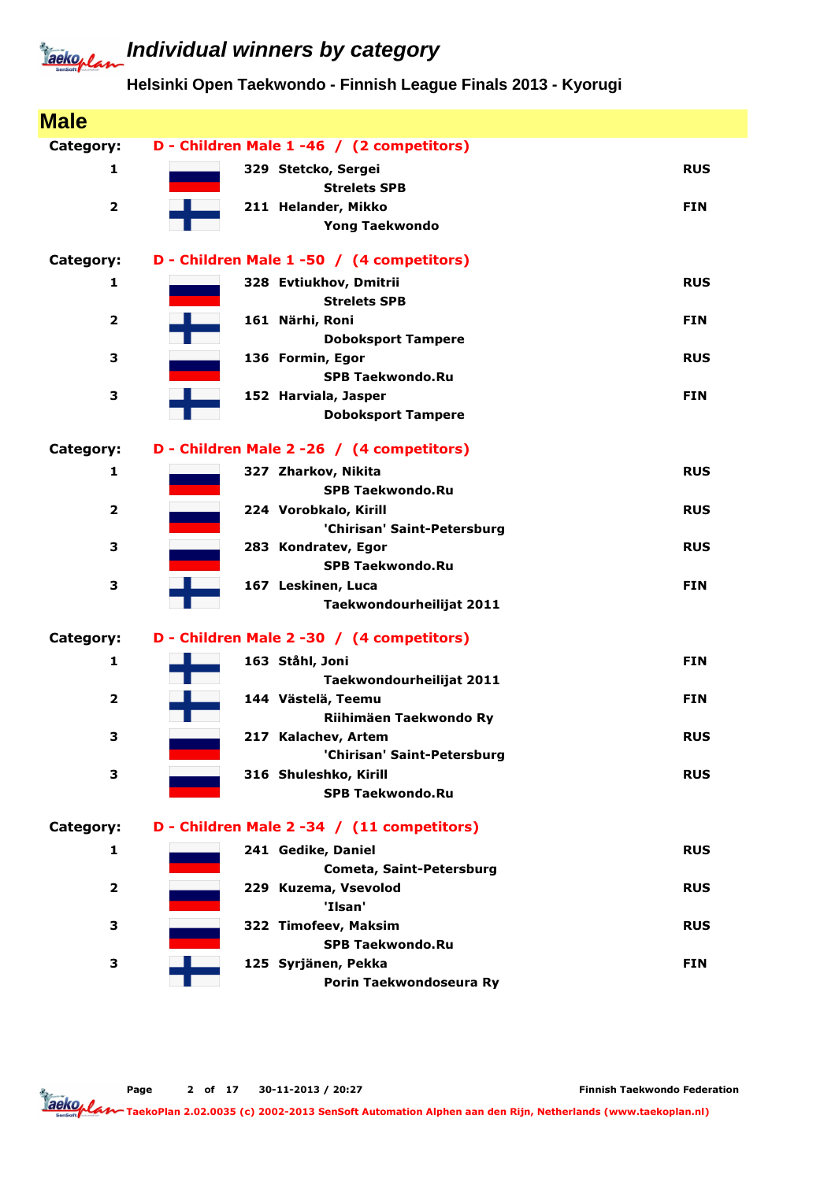## **Individual winners by category**

**Helsinki Open Taekwondo - Finnish League Finals 2013 - Kyorugi**

| <b>Male</b>             |                                                    |            |
|-------------------------|----------------------------------------------------|------------|
| Category:               | D - Children Male 1 -46 / (2 competitors)          |            |
| 1                       | 329 Stetcko, Sergei                                | <b>RUS</b> |
|                         | <b>Strelets SPB</b>                                |            |
| $\overline{\mathbf{2}}$ | 211 Helander, Mikko                                | <b>FIN</b> |
|                         | <b>Yong Taekwondo</b>                              |            |
| Category:               | D - Children Male 1 -50 / (4 competitors)          |            |
| 1                       | 328 Evtiukhov, Dmitrii                             | <b>RUS</b> |
|                         | <b>Strelets SPB</b>                                |            |
| $\overline{2}$          | 161 Närhi, Roni                                    | <b>FIN</b> |
|                         | <b>Doboksport Tampere</b>                          |            |
| з                       | 136 Formin, Egor                                   | <b>RUS</b> |
| 3                       | <b>SPB Taekwondo.Ru</b>                            | <b>FIN</b> |
|                         | 152 Harviala, Jasper<br><b>Doboksport Tampere</b>  |            |
|                         |                                                    |            |
| Category:               | D - Children Male 2 - 26 / (4 competitors)         |            |
| 1                       | 327 Zharkov, Nikita                                | <b>RUS</b> |
|                         | <b>SPB Taekwondo.Ru</b>                            |            |
| $\overline{\mathbf{2}}$ | 224 Vorobkalo, Kirill                              | <b>RUS</b> |
| 3                       | 'Chirisan' Saint-Petersburg<br>283 Kondratev, Egor | <b>RUS</b> |
|                         | <b>SPB Taekwondo.Ru</b>                            |            |
| 3                       | 167 Leskinen, Luca                                 | <b>FIN</b> |
|                         | Taekwondourheilijat 2011                           |            |
| Category:               | D - Children Male 2 -30 / (4 competitors)          |            |
| 1                       | 163 Ståhl, Joni                                    | <b>FIN</b> |
|                         | Taekwondourheilijat 2011                           |            |
| $\overline{\mathbf{2}}$ | 144 Västelä, Teemu                                 | <b>FIN</b> |
|                         | Riihimäen Taekwondo Ry                             |            |
| з                       | 217 Kalachev, Artem                                | <b>RUS</b> |
|                         | 'Chirisan' Saint-Petersburg                        |            |
| 3                       | 316 Shuleshko, Kirill                              | <b>RUS</b> |
|                         | <b>SPB Taekwondo.Ru</b>                            |            |
| Category:               | D - Children Male 2 -34 / (11 competitors)         |            |
| 1                       | 241 Gedike, Daniel                                 | <b>RUS</b> |
|                         | <b>Cometa, Saint-Petersburg</b>                    |            |
| 2                       | 229 Kuzema, Vsevolod                               | <b>RUS</b> |
|                         | 'Ilsan'                                            |            |
| 3                       | 322 Timofeev, Maksim                               | <b>RUS</b> |
|                         | <b>SPB Taekwondo.Ru</b>                            |            |
| 3                       | 125 Syrjänen, Pekka                                | <b>FIN</b> |
|                         | Porin Taekwondoseura Ry                            |            |

Finnish Taekwondo Federation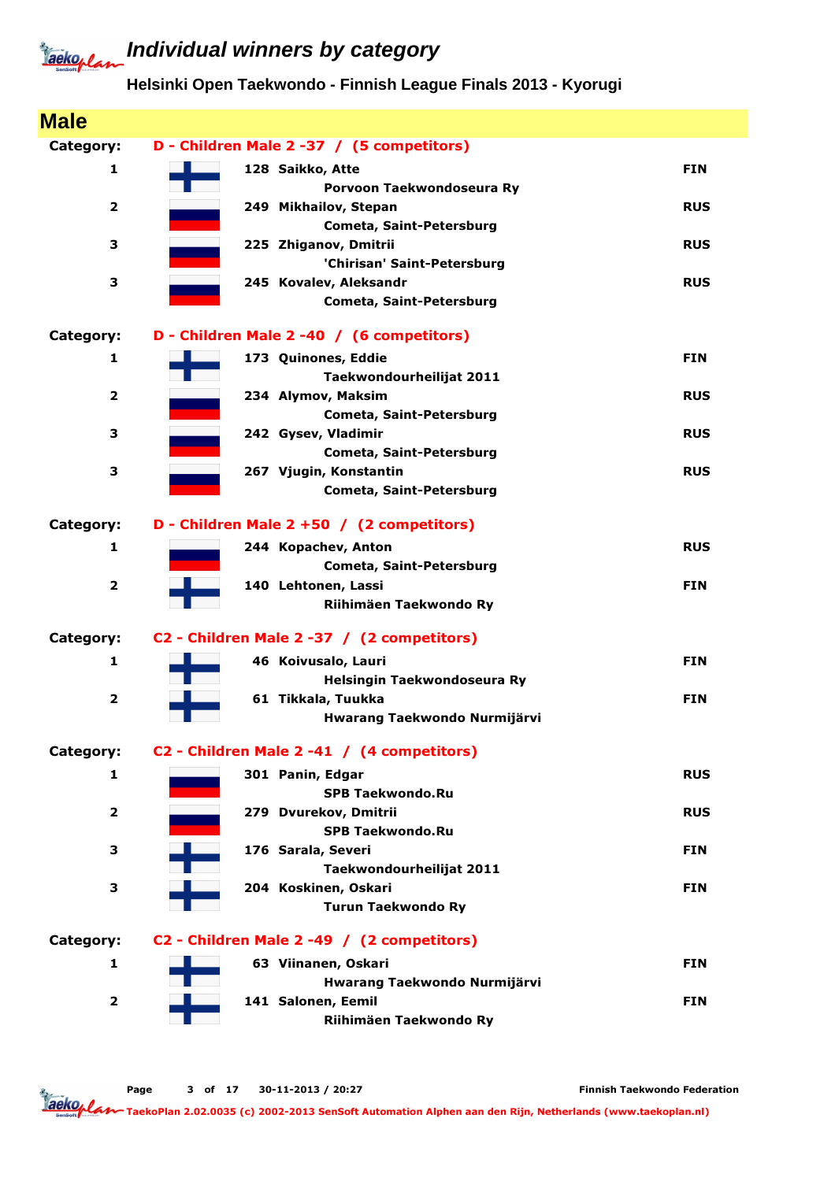### **Helsinki Open Taekwondo - Finnish League Finals 2013 - Kyorugi**

| <b>Male</b>             |                                                     |            |
|-------------------------|-----------------------------------------------------|------------|
| Category:               | D - Children Male 2 -37 / (5 competitors)           |            |
| 1                       | 128 Saikko, Atte                                    | <b>FIN</b> |
|                         | Porvoon Taekwondoseura Ry                           |            |
| $\overline{2}$          | 249 Mikhailov, Stepan                               | <b>RUS</b> |
|                         | <b>Cometa, Saint-Petersburg</b>                     |            |
| 3                       | 225 Zhiganov, Dmitrii                               | <b>RUS</b> |
|                         | 'Chirisan' Saint-Petersburg                         |            |
| 3                       | 245 Kovalev, Aleksandr                              | <b>RUS</b> |
|                         | Cometa, Saint-Petersburg                            |            |
| Category:               | D - Children Male 2 -40 / (6 competitors)           |            |
| 1                       | 173 Quinones, Eddie                                 | <b>FIN</b> |
|                         | Taekwondourheilijat 2011                            |            |
| 2                       | 234 Alymov, Maksim                                  | <b>RUS</b> |
|                         | Cometa, Saint-Petersburg                            |            |
| 3                       | 242 Gysev, Vladimir                                 | <b>RUS</b> |
|                         | <b>Cometa, Saint-Petersburg</b>                     |            |
| 3                       | 267 Vjugin, Konstantin                              | <b>RUS</b> |
|                         | <b>Cometa, Saint-Petersburg</b>                     |            |
| Category:               | D - Children Male 2 +50 / (2 competitors)           |            |
| 1                       | 244 Kopachev, Anton                                 | <b>RUS</b> |
|                         | Cometa, Saint-Petersburg                            |            |
| $\overline{\mathbf{2}}$ | 140 Lehtonen, Lassi                                 | <b>FIN</b> |
|                         | Riihimäen Taekwondo Ry                              |            |
| Category:               | C2 - Children Male 2 -37 / (2 competitors)          |            |
| 1                       | 46 Koivusalo, Lauri                                 | <b>FIN</b> |
|                         | Helsingin Taekwondoseura Ry                         |            |
| $\overline{\mathbf{2}}$ | 61 Tikkala, Tuukka                                  | <b>FIN</b> |
|                         | Hwarang Taekwondo Nurmijärvi                        |            |
|                         |                                                     |            |
| Category:               | C2 - Children Male 2 -41 / (4 competitors)          |            |
| 1                       | 301 Panin, Edgar                                    | <b>RUS</b> |
|                         | <b>SPB Taekwondo.Ru</b><br>279 Dvurekov, Dmitrii    | <b>RUS</b> |
| 2                       | <b>SPB Taekwondo.Ru</b>                             |            |
| 3                       | 176 Sarala, Severi                                  | <b>FIN</b> |
|                         | Taekwondourheilijat 2011                            |            |
| 3                       | 204 Koskinen, Oskari                                | <b>FIN</b> |
|                         | <b>Turun Taekwondo Ry</b>                           |            |
| Category:               | C2 - Children Male 2 -49 / (2 competitors)          |            |
|                         |                                                     |            |
| 1                       | 63 Viinanen, Oskari<br>Hwarang Taekwondo Nurmijärvi | <b>FIN</b> |
| $\overline{2}$          | 141 Salonen, Eemil                                  | <b>FIN</b> |
|                         | Riihimäen Taekwondo Ry                              |            |
|                         |                                                     |            |

Page 3 of 17 30-11-2013 / 20:27

Finnish Taekwondo Federation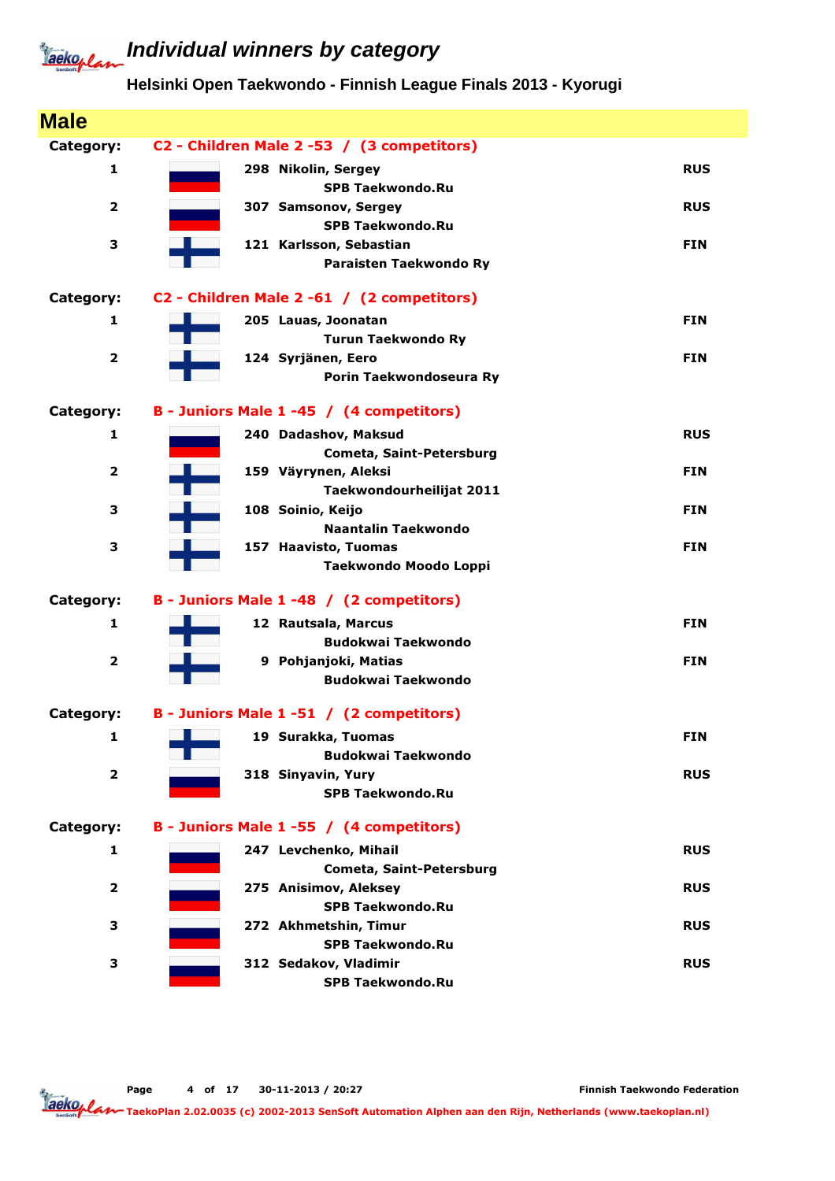### **Individual winners by category**

#### **Helsinki Open Taekwondo - Finnish League Finals 2013 - Kyorugi**

| <b>Male</b>             |                                            |            |
|-------------------------|--------------------------------------------|------------|
| Category:               | C2 - Children Male 2 -53 / (3 competitors) |            |
| 1                       | 298 Nikolin, Sergey                        | <b>RUS</b> |
|                         | <b>SPB Taekwondo.Ru</b>                    |            |
| $\overline{\mathbf{2}}$ | 307 Samsonov, Sergey                       | <b>RUS</b> |
|                         | <b>SPB Taekwondo.Ru</b>                    |            |
| 3                       | 121 Karlsson, Sebastian                    | <b>FIN</b> |
|                         | Paraisten Taekwondo Ry                     |            |
| Category:               | C2 - Children Male 2 -61 / (2 competitors) |            |
| 1                       | 205 Lauas, Joonatan                        | <b>FIN</b> |
|                         | <b>Turun Taekwondo Ry</b>                  |            |
| $\overline{\mathbf{2}}$ | 124 Syrjänen, Eero                         | <b>FIN</b> |
|                         | Porin Taekwondoseura Ry                    |            |
| Category:               | B - Juniors Male 1 -45 / (4 competitors)   |            |
| 1                       | 240 Dadashov, Maksud                       | <b>RUS</b> |
|                         | Cometa, Saint-Petersburg                   |            |
| $\overline{\mathbf{2}}$ | 159 Väyrynen, Aleksi                       | <b>FIN</b> |
|                         | Taekwondourheilijat 2011                   |            |
| з                       | 108 Soinio, Keijo                          | <b>FIN</b> |
|                         | <b>Naantalin Taekwondo</b>                 |            |
| 3                       | 157 Haavisto, Tuomas                       | <b>FIN</b> |
|                         | Taekwondo Moodo Loppi                      |            |
| Category:               | B - Juniors Male 1 -48 / (2 competitors)   |            |
| 1                       | 12 Rautsala, Marcus                        | <b>FIN</b> |
|                         | <b>Budokwai Taekwondo</b>                  |            |
| $\overline{\mathbf{2}}$ | 9 Pohjanjoki, Matias                       | <b>FIN</b> |
|                         | <b>Budokwai Taekwondo</b>                  |            |
| Category:               | B - Juniors Male 1 -51 / (2 competitors)   |            |
| 1                       | 19 Surakka, Tuomas                         | <b>FIN</b> |
|                         | <b>Budokwai Taekwondo</b>                  |            |
| $\overline{2}$          | 318 Sinyavin, Yury                         | <b>RUS</b> |
|                         | <b>SPB Taekwondo.Ru</b>                    |            |
| Category:               | B - Juniors Male 1 -55 / (4 competitors)   |            |
| 1                       | 247 Levchenko, Mihail                      | <b>RUS</b> |
|                         | Cometa, Saint-Petersburg                   |            |
| $\overline{\mathbf{2}}$ | 275 Anisimov, Aleksey                      | <b>RUS</b> |
|                         | <b>SPB Taekwondo.Ru</b>                    |            |
| 3                       | 272 Akhmetshin, Timur                      | <b>RUS</b> |
|                         | <b>SPB Taekwondo.Ru</b>                    |            |
| з                       | 312 Sedakov, Vladimir                      | <b>RUS</b> |
|                         | <b>SPB Taekwondo.Ru</b>                    |            |

Page 4 of 17 30-11-2013 / 20:27

Finnish Taekwondo Federation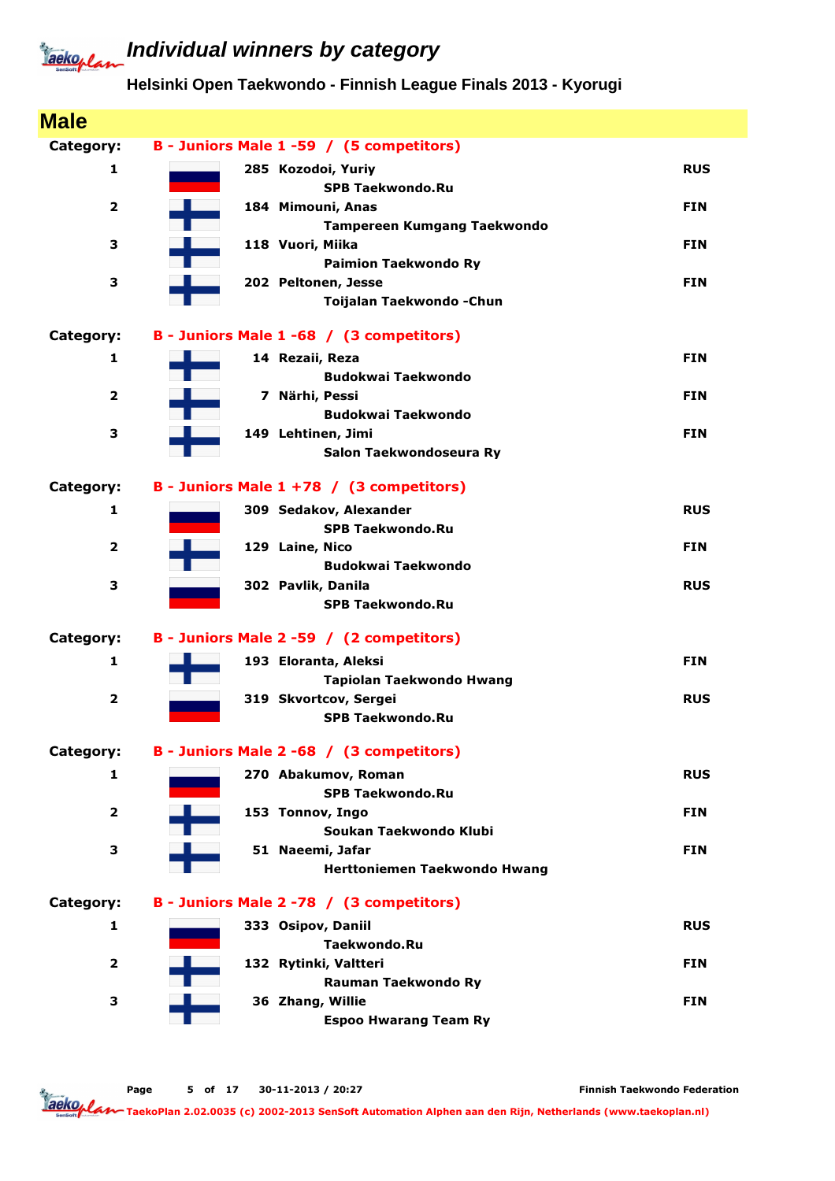### **Individual winners by category**

#### **Helsinki Open Taekwondo - Finnish League Finals 2013 - Kyorugi**

| <b>Male</b>             |                                                  |            |
|-------------------------|--------------------------------------------------|------------|
| Category:               | B - Juniors Male 1 -59 / (5 competitors)         |            |
| 1                       | 285 Kozodoi, Yuriy                               | <b>RUS</b> |
|                         | <b>SPB Taekwondo.Ru</b>                          |            |
| $\overline{2}$          | 184 Mimouni, Anas                                | <b>FIN</b> |
|                         | Tampereen Kumgang Taekwondo                      |            |
| з                       | 118 Vuori, Miika                                 | <b>FIN</b> |
|                         | <b>Paimion Taekwondo Ry</b>                      |            |
| з                       | 202 Peltonen, Jesse<br>Toijalan Taekwondo - Chun | <b>FIN</b> |
|                         |                                                  |            |
| Category:               | B - Juniors Male 1 -68 / (3 competitors)         |            |
| 1                       | 14 Rezaii, Reza                                  | <b>FIN</b> |
|                         | <b>Budokwai Taekwondo</b>                        |            |
| 2                       | 7 Närhi, Pessi                                   | <b>FIN</b> |
|                         | <b>Budokwai Taekwondo</b>                        |            |
| 3                       | 149 Lehtinen, Jimi                               | <b>FIN</b> |
|                         | Salon Taekwondoseura Ry                          |            |
| Category:               | B - Juniors Male $1 + 78$ / (3 competitors)      |            |
| 1                       | 309 Sedakov, Alexander                           | <b>RUS</b> |
|                         | <b>SPB Taekwondo.Ru</b>                          |            |
| $\overline{2}$          | 129 Laine, Nico                                  | <b>FIN</b> |
|                         | <b>Budokwai Taekwondo</b>                        |            |
| 3                       | 302 Pavlik, Danila                               | <b>RUS</b> |
|                         | <b>SPB Taekwondo.Ru</b>                          |            |
| Category:               | B - Juniors Male 2 -59 / (2 competitors)         |            |
| 1                       | 193 Eloranta, Aleksi                             | <b>FIN</b> |
|                         | Tapiolan Taekwondo Hwang                         |            |
| $\overline{\mathbf{2}}$ | 319 Skvortcov, Sergei                            | <b>RUS</b> |
|                         | <b>SPB Taekwondo.Ru</b>                          |            |
| Category:               | B - Juniors Male 2 -68 / (3 competitors)         |            |
| 1                       | 270 Abakumov, Roman                              | <b>RUS</b> |
|                         | <b>SPB Taekwondo.Ru</b>                          |            |
| $\overline{2}$          | 153 Tonnov, Ingo                                 | <b>FIN</b> |
|                         | Soukan Taekwondo Klubi                           |            |
| 3                       | 51 Naeemi, Jafar                                 | <b>FIN</b> |
|                         | Herttoniemen Taekwondo Hwang                     |            |
| Category:               | B - Juniors Male 2 -78 / (3 competitors)         |            |
| 1                       | 333 Osipov, Daniil                               | <b>RUS</b> |
|                         | Taekwondo.Ru                                     |            |
| $\overline{2}$          | 132 Rytinki, Valtteri                            | <b>FIN</b> |
|                         | Rauman Taekwondo Ry                              |            |
| 3                       | 36 Zhang, Willie                                 | <b>FIN</b> |
|                         | <b>Espoo Hwarang Team Ry</b>                     |            |

Page 5 of 17 30-11-2013 / 20:27

Finnish Taekwondo Federation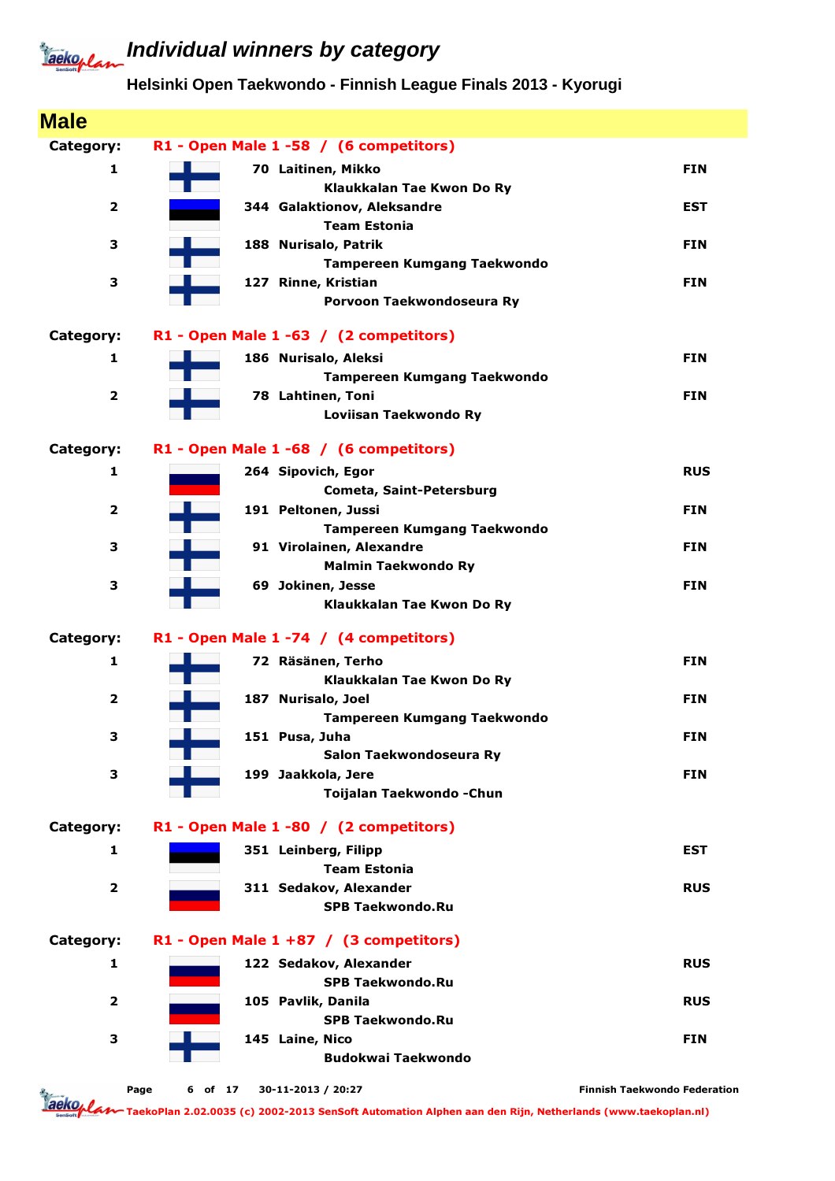### **Helsinki Open Taekwondo - Finnish League Finals 2013 - Kyorugi**

| <b>Male</b>             |                                                        |                                     |
|-------------------------|--------------------------------------------------------|-------------------------------------|
| Category:               | R1 - Open Male 1 -58 / (6 competitors)                 |                                     |
| 1                       | 70 Laitinen, Mikko                                     | <b>FIN</b>                          |
|                         | Klaukkalan Tae Kwon Do Ry                              |                                     |
| $\overline{\mathbf{2}}$ | 344 Galaktionov, Aleksandre                            | <b>EST</b>                          |
|                         | <b>Team Estonia</b>                                    |                                     |
| 3                       | 188 Nurisalo, Patrik                                   | <b>FIN</b>                          |
|                         | <b>Tampereen Kumgang Taekwondo</b>                     |                                     |
| 3                       | 127 Rinne, Kristian<br>Porvoon Taekwondoseura Ry       | <b>FIN</b>                          |
| Category:               | R1 - Open Male 1 -63 / (2 competitors)                 |                                     |
| $\mathbf{1}$            | 186 Nurisalo, Aleksi                                   | <b>FIN</b>                          |
|                         | <b>Tampereen Kumgang Taekwondo</b>                     |                                     |
| $\overline{2}$          | 78 Lahtinen, Toni                                      | <b>FIN</b>                          |
|                         | Loviisan Taekwondo Ry                                  |                                     |
| Category:               | R1 - Open Male 1 -68 / (6 competitors)                 |                                     |
| 1                       | 264 Sipovich, Egor                                     | <b>RUS</b>                          |
|                         | <b>Cometa, Saint-Petersburg</b>                        |                                     |
| $\overline{2}$          | 191 Peltonen, Jussi                                    | <b>FIN</b>                          |
|                         | <b>Tampereen Kumgang Taekwondo</b>                     |                                     |
| 3                       | 91 Virolainen, Alexandre<br><b>Malmin Taekwondo Ry</b> | <b>FIN</b>                          |
| 3                       | 69 Jokinen, Jesse                                      | <b>FIN</b>                          |
|                         | Klaukkalan Tae Kwon Do Ry                              |                                     |
| Category:               | R1 - Open Male 1 -74 / (4 competitors)                 |                                     |
| 1                       | 72 Räsänen, Terho                                      | <b>FIN</b>                          |
|                         | Klaukkalan Tae Kwon Do Ry                              |                                     |
| $\overline{\mathbf{2}}$ | 187 Nurisalo, Joel                                     | <b>FIN</b>                          |
|                         | <b>Tampereen Kumgang Taekwondo</b>                     |                                     |
| З                       | 151 Pusa, Juha                                         | <b>FIN</b>                          |
|                         | Salon Taekwondoseura Ry                                |                                     |
| 3                       | 199 Jaakkola, Jere<br>Toijalan Taekwondo - Chun        | <b>FIN</b>                          |
|                         |                                                        |                                     |
| Category:               | R1 - Open Male 1 -80 / (2 competitors)                 |                                     |
| 1                       | 351 Leinberg, Filipp                                   | <b>EST</b>                          |
|                         | <b>Team Estonia</b>                                    |                                     |
| $\overline{2}$          | 311 Sedakov, Alexander                                 | <b>RUS</b>                          |
|                         | <b>SPB Taekwondo.Ru</b>                                |                                     |
| Category:               | R1 - Open Male $1 + 87$ / (3 competitors)              |                                     |
| 1                       | 122 Sedakov, Alexander                                 | <b>RUS</b>                          |
|                         | <b>SPB Taekwondo.Ru</b>                                |                                     |
| $\mathbf{2}$            | 105 Pavlik, Danila<br><b>SPB Taekwondo.Ru</b>          | <b>RUS</b>                          |
| 3                       | 145 Laine, Nico                                        | <b>FIN</b>                          |
|                         | <b>Budokwai Taekwondo</b>                              |                                     |
|                         |                                                        |                                     |
| ь.                      | 30-11-2013 / 20:27<br>Page<br>6 of 17                  | <b>Finnish Taekwondo Federation</b> |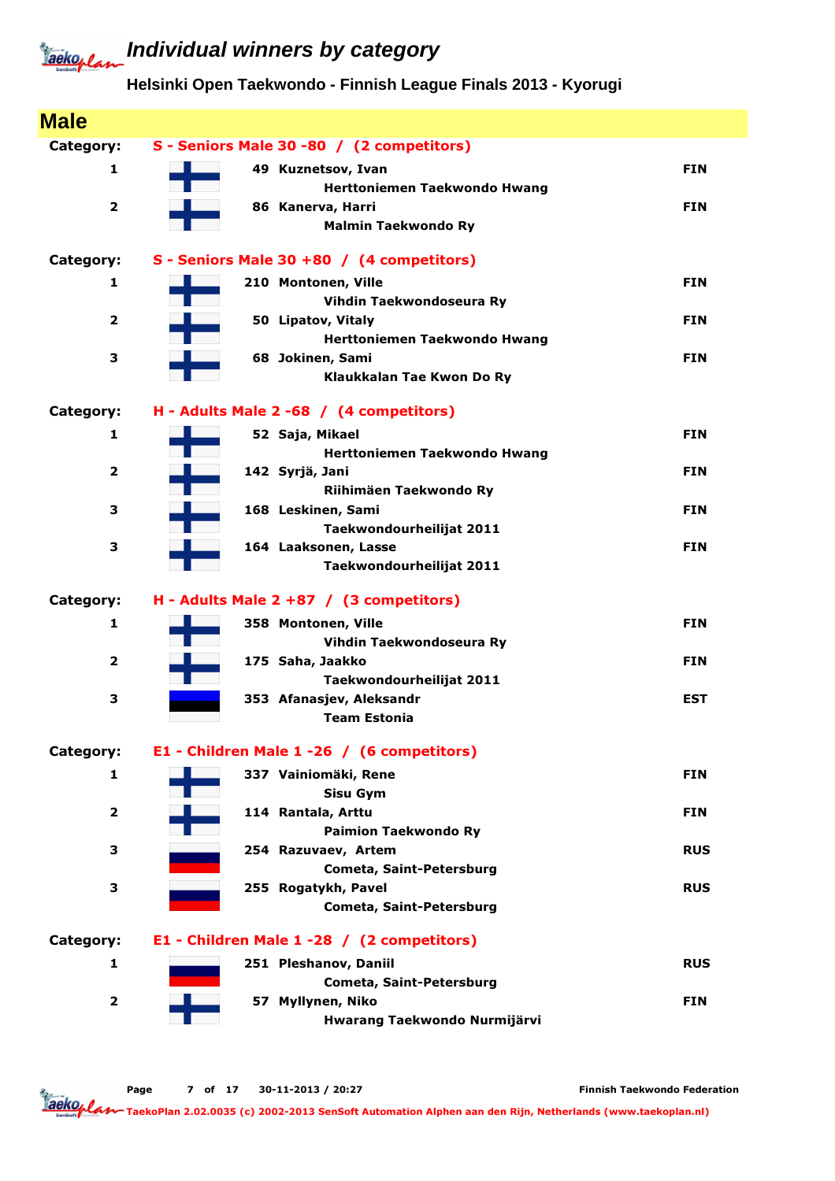### **Individual winners by category**

#### **Helsinki Open Taekwondo - Finnish League Finals 2013 - Kyorugi**

| S - Seniors Male 30 -80 / (2 competitors)         |                                                                                                                                                                                                                                                                                                                                                                             |
|---------------------------------------------------|-----------------------------------------------------------------------------------------------------------------------------------------------------------------------------------------------------------------------------------------------------------------------------------------------------------------------------------------------------------------------------|
| 49 Kuznetsov, Ivan                                | <b>FIN</b>                                                                                                                                                                                                                                                                                                                                                                  |
| Herttoniemen Taekwondo Hwang                      |                                                                                                                                                                                                                                                                                                                                                                             |
| 86 Kanerva, Harri                                 | <b>FIN</b>                                                                                                                                                                                                                                                                                                                                                                  |
| <b>Malmin Taekwondo Ry</b>                        |                                                                                                                                                                                                                                                                                                                                                                             |
| S - Seniors Male 30 +80 / (4 competitors)         |                                                                                                                                                                                                                                                                                                                                                                             |
| 210 Montonen, Ville                               | <b>FIN</b>                                                                                                                                                                                                                                                                                                                                                                  |
| Vihdin Taekwondoseura Ry                          |                                                                                                                                                                                                                                                                                                                                                                             |
| 50 Lipatov, Vitaly                                | <b>FIN</b>                                                                                                                                                                                                                                                                                                                                                                  |
|                                                   |                                                                                                                                                                                                                                                                                                                                                                             |
|                                                   | <b>FIN</b>                                                                                                                                                                                                                                                                                                                                                                  |
|                                                   |                                                                                                                                                                                                                                                                                                                                                                             |
| H - Adults Male 2 -68 / (4 competitors)           |                                                                                                                                                                                                                                                                                                                                                                             |
| 52 Saja, Mikael                                   | <b>FIN</b>                                                                                                                                                                                                                                                                                                                                                                  |
| Herttoniemen Taekwondo Hwang                      |                                                                                                                                                                                                                                                                                                                                                                             |
| 142 Syrjä, Jani                                   | <b>FIN</b>                                                                                                                                                                                                                                                                                                                                                                  |
|                                                   |                                                                                                                                                                                                                                                                                                                                                                             |
|                                                   | <b>FIN</b>                                                                                                                                                                                                                                                                                                                                                                  |
|                                                   |                                                                                                                                                                                                                                                                                                                                                                             |
|                                                   | <b>FIN</b>                                                                                                                                                                                                                                                                                                                                                                  |
|                                                   |                                                                                                                                                                                                                                                                                                                                                                             |
| H - Adults Male $2 + 87$ / (3 competitors)        |                                                                                                                                                                                                                                                                                                                                                                             |
| 358 Montonen, Ville                               | <b>FIN</b>                                                                                                                                                                                                                                                                                                                                                                  |
| Vihdin Taekwondoseura Ry                          |                                                                                                                                                                                                                                                                                                                                                                             |
| 175 Saha, Jaakko                                  | <b>FIN</b>                                                                                                                                                                                                                                                                                                                                                                  |
|                                                   |                                                                                                                                                                                                                                                                                                                                                                             |
|                                                   | <b>EST</b>                                                                                                                                                                                                                                                                                                                                                                  |
|                                                   |                                                                                                                                                                                                                                                                                                                                                                             |
| E1 - Children Male 1 -26 / (6 competitors)        |                                                                                                                                                                                                                                                                                                                                                                             |
| 337 Vainiomäki, Rene                              | <b>FIN</b>                                                                                                                                                                                                                                                                                                                                                                  |
| <b>Sisu Gym</b>                                   |                                                                                                                                                                                                                                                                                                                                                                             |
| 114 Rantala, Arttu                                | <b>FIN</b>                                                                                                                                                                                                                                                                                                                                                                  |
| <b>Paimion Taekwondo Ry</b>                       |                                                                                                                                                                                                                                                                                                                                                                             |
| 254 Razuvaev, Artem                               | <b>RUS</b>                                                                                                                                                                                                                                                                                                                                                                  |
|                                                   |                                                                                                                                                                                                                                                                                                                                                                             |
|                                                   | <b>RUS</b>                                                                                                                                                                                                                                                                                                                                                                  |
|                                                   |                                                                                                                                                                                                                                                                                                                                                                             |
| E1 - Children Male 1 -28 / (2 competitors)        |                                                                                                                                                                                                                                                                                                                                                                             |
| 251 Pleshanov, Daniil                             | <b>RUS</b>                                                                                                                                                                                                                                                                                                                                                                  |
|                                                   |                                                                                                                                                                                                                                                                                                                                                                             |
| Cometa, Saint-Petersburg                          |                                                                                                                                                                                                                                                                                                                                                                             |
| 57 Myllynen, Niko<br>Hwarang Taekwondo Nurmijärvi | <b>FIN</b>                                                                                                                                                                                                                                                                                                                                                                  |
|                                                   | Herttoniemen Taekwondo Hwang<br>68 Jokinen, Sami<br>Klaukkalan Tae Kwon Do Ry<br>Riihimäen Taekwondo Ry<br>168 Leskinen, Sami<br>Taekwondourheilijat 2011<br>164 Laaksonen, Lasse<br>Taekwondourheilijat 2011<br>Taekwondourheilijat 2011<br>353 Afanasjev, Aleksandr<br><b>Team Estonia</b><br>Cometa, Saint-Petersburg<br>255 Rogatykh, Pavel<br>Cometa, Saint-Petersburg |

Page 7 of 17 30-11-2013 / 20:27

Finnish Taekwondo Federation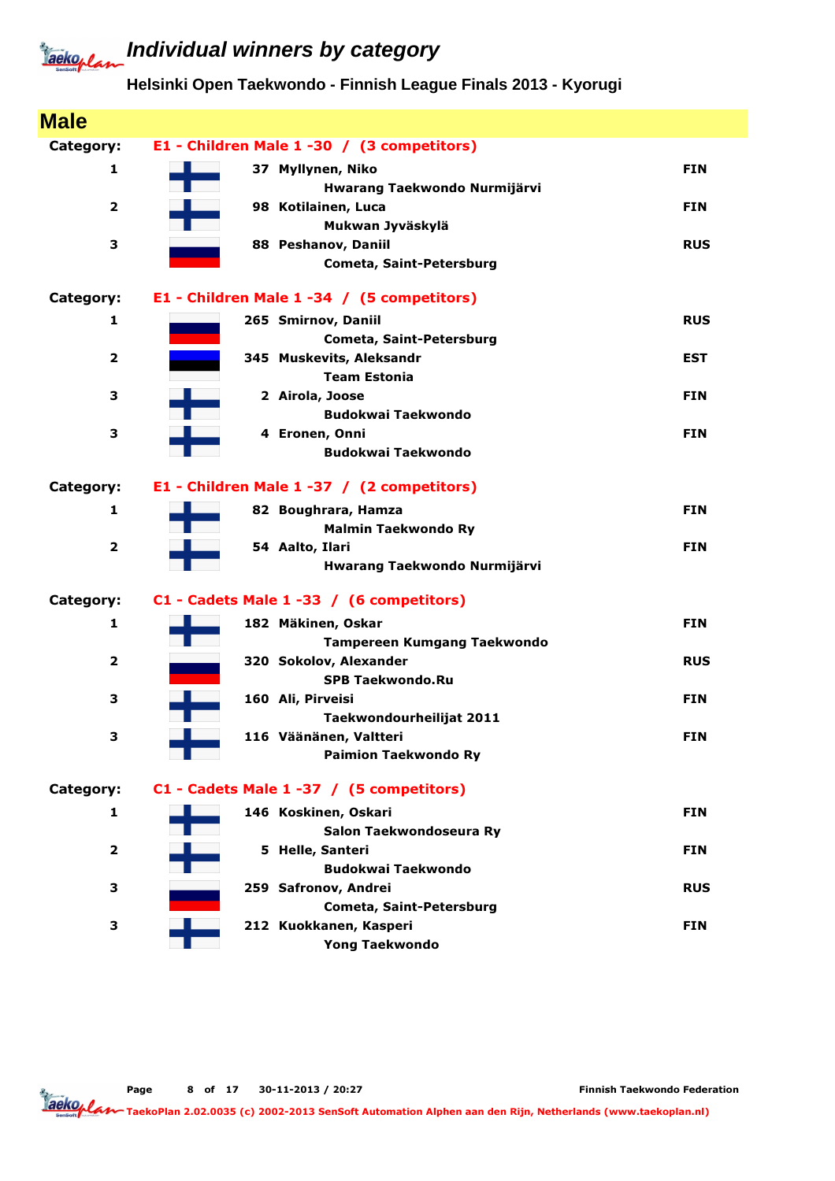## **Individual winners by category**

#### **Helsinki Open Taekwondo - Finnish League Finals 2013 - Kyorugi**

| <b>Male</b>             |                                            |            |
|-------------------------|--------------------------------------------|------------|
| Category:               | E1 - Children Male 1 -30 / (3 competitors) |            |
| $\mathbf{1}$            | 37 Myllynen, Niko                          | <b>FIN</b> |
|                         | Hwarang Taekwondo Nurmijärvi               |            |
| $\overline{\mathbf{2}}$ | 98 Kotilainen, Luca                        | <b>FIN</b> |
|                         | Mukwan Jyväskylä                           |            |
| 3                       | 88 Peshanov, Daniil                        | <b>RUS</b> |
|                         | Cometa, Saint-Petersburg                   |            |
| Category:               | E1 - Children Male 1 -34 / (5 competitors) |            |
| 1                       | 265 Smirnov, Daniil                        | <b>RUS</b> |
|                         | Cometa, Saint-Petersburg                   |            |
| $\overline{\mathbf{2}}$ | 345 Muskevits, Aleksandr                   | <b>EST</b> |
|                         | <b>Team Estonia</b>                        |            |
| 3                       | 2 Airola, Joose                            | <b>FIN</b> |
|                         | <b>Budokwai Taekwondo</b>                  |            |
| 3                       | 4 Eronen, Onni                             | <b>FIN</b> |
|                         | <b>Budokwai Taekwondo</b>                  |            |
| Category:               | E1 - Children Male 1 -37 / (2 competitors) |            |
| 1                       | 82 Boughrara, Hamza                        | <b>FIN</b> |
|                         | <b>Malmin Taekwondo Ry</b>                 |            |
| $\overline{\mathbf{2}}$ | 54 Aalto, Ilari                            | <b>FIN</b> |
|                         | Hwarang Taekwondo Nurmijärvi               |            |
| Category:               | C1 - Cadets Male 1 -33 / (6 competitors)   |            |
| $\mathbf{1}$            | 182 Mäkinen, Oskar                         | <b>FIN</b> |
|                         | Tampereen Kumgang Taekwondo                |            |
| $\overline{\mathbf{2}}$ | 320 Sokolov, Alexander                     | <b>RUS</b> |
|                         | <b>SPB Taekwondo.Ru</b>                    |            |
| 3                       | 160 Ali, Pirveisi                          | <b>FIN</b> |
|                         | Taekwondourheilijat 2011                   |            |
| 3                       | 116 Väänänen, Valtteri                     | <b>FIN</b> |
|                         | <b>Paimion Taekwondo Ry</b>                |            |
| Category:               | C1 - Cadets Male 1 -37 / (5 competitors)   |            |
| 1                       | 146 Koskinen, Oskari                       | <b>FIN</b> |
|                         | Salon Taekwondoseura Ry                    |            |
| $\overline{\mathbf{2}}$ | 5 Helle, Santeri                           | <b>FIN</b> |
|                         | <b>Budokwai Taekwondo</b>                  |            |
| з                       | 259 Safronov, Andrei                       | <b>RUS</b> |
|                         | Cometa, Saint-Petersburg                   |            |
| 3                       | 212 Kuokkanen, Kasperi                     | <b>FIN</b> |
|                         | <b>Yong Taekwondo</b>                      |            |

Page 8 of 17 30-11-2013 / 20:27

Finnish Taekwondo Federation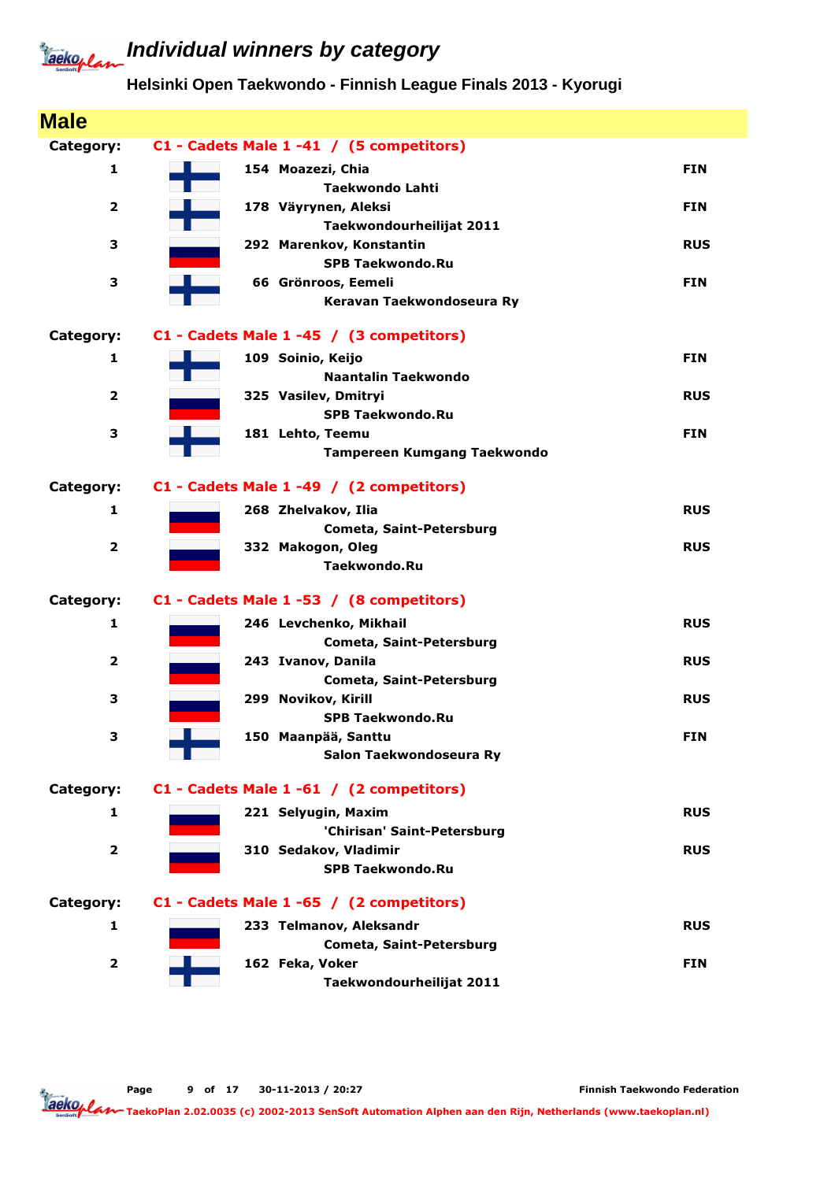### **Helsinki Open Taekwondo - Finnish League Finals 2013 - Kyorugi**

| <b>Male</b>             |                                                  |            |
|-------------------------|--------------------------------------------------|------------|
| Category:               | C1 - Cadets Male 1 -41 / (5 competitors)         |            |
| 1                       | 154 Moazezi, Chia                                | <b>FIN</b> |
|                         | <b>Taekwondo Lahti</b>                           |            |
| $\overline{2}$          | 178 Väyrynen, Aleksi                             | <b>FIN</b> |
|                         | Taekwondourheilijat 2011                         |            |
| з                       | 292 Marenkov, Konstantin                         | <b>RUS</b> |
|                         | <b>SPB Taekwondo.Ru</b>                          |            |
| 3                       | 66 Grönroos, Eemeli<br>Keravan Taekwondoseura Ry | <b>FIN</b> |
|                         |                                                  |            |
| Category:               | C1 - Cadets Male 1 -45 / (3 competitors)         |            |
| 1                       | 109 Soinio, Keijo                                | <b>FIN</b> |
|                         | Naantalin Taekwondo                              |            |
| $\overline{\mathbf{2}}$ | 325 Vasilev, Dmitryi                             | <b>RUS</b> |
|                         | <b>SPB Taekwondo.Ru</b>                          |            |
| 3                       | 181 Lehto, Teemu                                 | <b>FIN</b> |
|                         | <b>Tampereen Kumgang Taekwondo</b>               |            |
| Category:               | C1 - Cadets Male 1 -49 / (2 competitors)         |            |
| $\mathbf{1}$            | 268 Zhelvakov, Ilia                              | <b>RUS</b> |
|                         | Cometa, Saint-Petersburg                         |            |
| $\overline{2}$          | 332 Makogon, Oleg                                | <b>RUS</b> |
|                         | Taekwondo.Ru                                     |            |
| Category:               | C1 - Cadets Male 1 -53 / (8 competitors)         |            |
| 1                       | 246 Levchenko, Mikhail                           | <b>RUS</b> |
|                         | <b>Cometa, Saint-Petersburg</b>                  |            |
| $\overline{2}$          | 243 Ivanov, Danila                               | <b>RUS</b> |
|                         | Cometa, Saint-Petersburg                         |            |
| 3                       | 299 Novikov, Kirill                              | <b>RUS</b> |
|                         | <b>SPB Taekwondo.Ru</b>                          |            |
| 3                       | 150 Maanpää, Santtu                              | <b>FIN</b> |
|                         | Salon Taekwondoseura Ry                          |            |
| Category:               | C1 - Cadets Male 1 -61 / (2 competitors)         |            |
| 1                       | 221 Selyugin, Maxim                              | <b>RUS</b> |
|                         | 'Chirisan' Saint-Petersburg                      |            |
| $\overline{\mathbf{2}}$ | 310 Sedakov, Vladimir                            | <b>RUS</b> |
|                         | <b>SPB Taekwondo.Ru</b>                          |            |
| Category:               | C1 - Cadets Male 1 -65 / (2 competitors)         |            |
| 1                       | 233 Telmanov, Aleksandr                          | <b>RUS</b> |
|                         | <b>Cometa, Saint-Petersburg</b>                  |            |
| $\mathbf{2}$            | 162 Feka, Voker                                  | <b>FIN</b> |
|                         | Taekwondourheilijat 2011                         |            |

Finnish Taekwondo Federation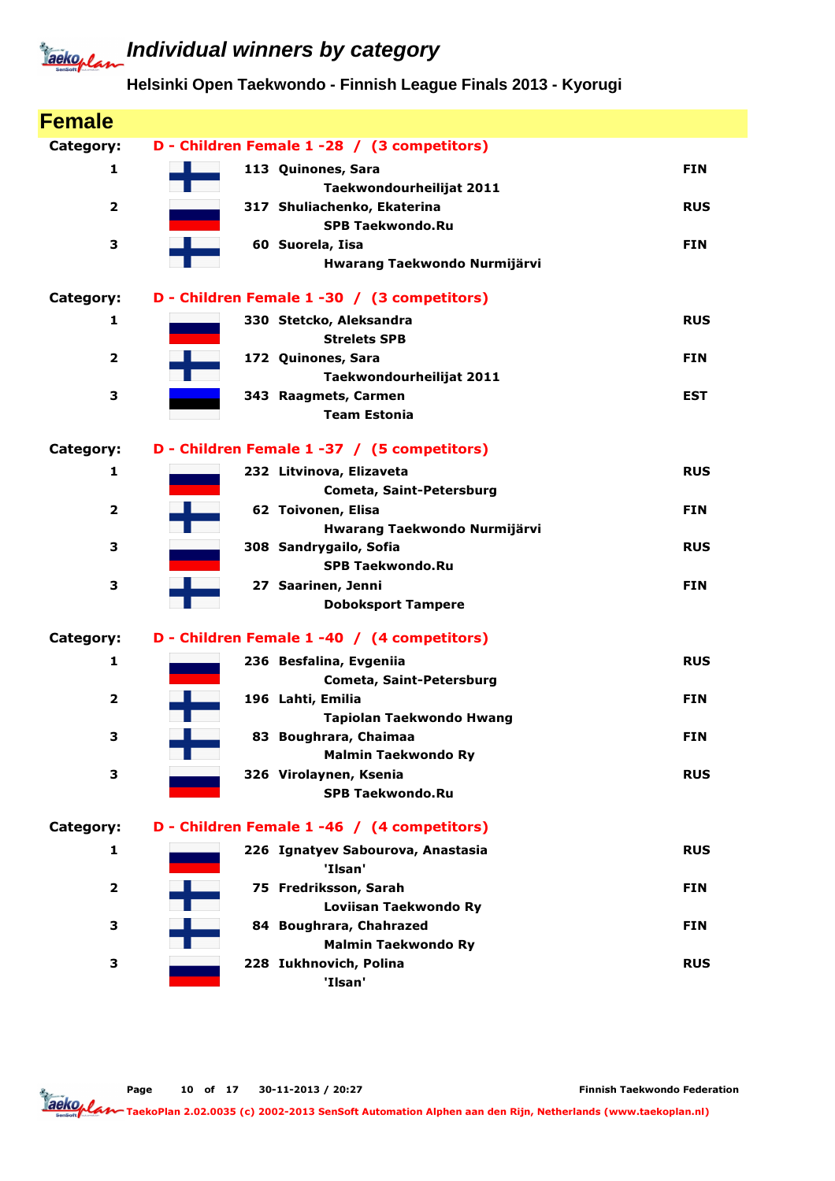### **Helsinki Open Taekwondo - Finnish League Finals 2013 - Kyorugi**

| <b>Female</b>           |                                                            |            |
|-------------------------|------------------------------------------------------------|------------|
| Category:               | D - Children Female 1 -28 / (3 competitors)                |            |
| 1                       | 113 Quinones, Sara<br>Taekwondourheilijat 2011             | <b>FIN</b> |
| $\overline{\mathbf{2}}$ | 317 Shuliachenko, Ekaterina<br><b>SPB Taekwondo.Ru</b>     | <b>RUS</b> |
| 3                       | 60 Suorela, Iisa<br>Hwarang Taekwondo Nurmijärvi           | <b>FIN</b> |
| Category:               | D - Children Female 1 -30 / (3 competitors)                |            |
| 1                       | 330 Stetcko, Aleksandra<br><b>Strelets SPB</b>             | <b>RUS</b> |
| $\overline{\mathbf{2}}$ | 172 Quinones, Sara<br>Taekwondourheilijat 2011             | <b>FIN</b> |
| 3                       | 343 Raagmets, Carmen<br><b>Team Estonia</b>                | <b>EST</b> |
| Category:               | D - Children Female 1 -37 / (5 competitors)                |            |
| 1                       | 232 Litvinova, Elizaveta<br>Cometa, Saint-Petersburg       | <b>RUS</b> |
| $\overline{\mathbf{2}}$ | 62 Toivonen, Elisa<br>Hwarang Taekwondo Nurmijärvi         | <b>FIN</b> |
| 3                       | 308 Sandrygailo, Sofia<br><b>SPB Taekwondo.Ru</b>          | <b>RUS</b> |
| 3                       | 27 Saarinen, Jenni<br><b>Doboksport Tampere</b>            | <b>FIN</b> |
| Category:               | D - Children Female 1 -40 / (4 competitors)                |            |
| 1                       | 236 Besfalina, Evgeniia<br><b>Cometa, Saint-Petersburg</b> | <b>RUS</b> |
| 2                       | 196 Lahti, Emilia<br>Tapiolan Taekwondo Hwang              | <b>FIN</b> |
| 3                       | 83 Boughrara, Chaimaa<br><b>Malmin Taekwondo Ry</b>        | <b>FIN</b> |
| з                       | 326 Virolaynen, Ksenia<br><b>SPB Taekwondo.Ru</b>          | <b>RUS</b> |
| Category:               | D - Children Female 1 -46 / (4 competitors)                |            |
| 1                       | 226 Ignatyev Sabourova, Anastasia<br>'Ilsan'               | <b>RUS</b> |
| $\overline{\mathbf{2}}$ | 75 Fredriksson, Sarah<br>Loviisan Taekwondo Ry             | <b>FIN</b> |
| з                       | 84 Boughrara, Chahrazed<br><b>Malmin Taekwondo Ry</b>      | <b>FIN</b> |
| з                       | 228 Iukhnovich, Polina<br>'Ilsan'                          | <b>RUS</b> |

Page 10 of 17 30-11-2013 / 20:27

Finnish Taekwondo Federation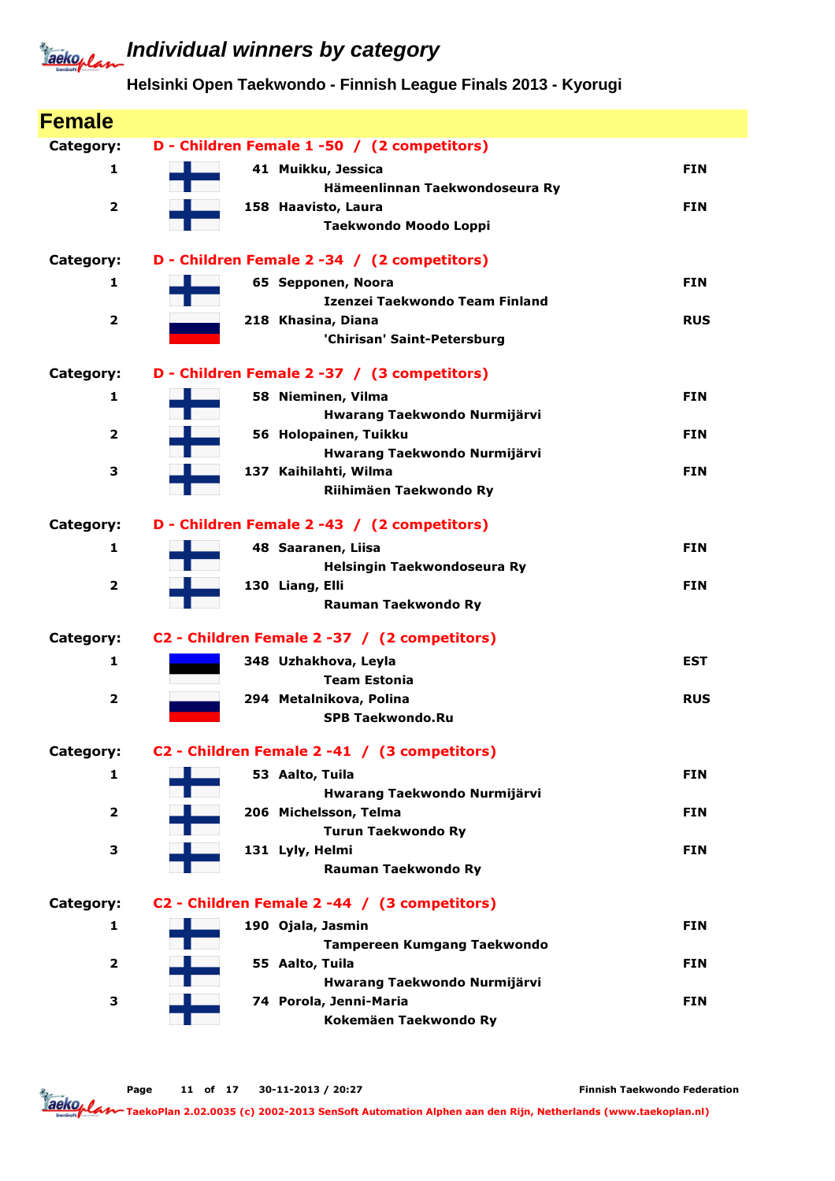#### **Helsinki Open Taekwondo - Finnish League Finals 2013 - Kyorugi**

| <b>Female</b>           |                                                        |            |
|-------------------------|--------------------------------------------------------|------------|
| Category:               | D - Children Female 1 -50 / (2 competitors)            |            |
| 1                       | 41 Muikku, Jessica                                     | <b>FIN</b> |
|                         | Hämeenlinnan Taekwondoseura Ry                         |            |
| $\overline{\mathbf{2}}$ | 158 Haavisto, Laura                                    | <b>FIN</b> |
|                         | Taekwondo Moodo Loppi                                  |            |
| Category:               | D - Children Female 2 -34 / (2 competitors)            |            |
| 1                       | 65 Sepponen, Noora                                     | <b>FIN</b> |
|                         | Izenzei Taekwondo Team Finland                         |            |
| $\overline{\mathbf{2}}$ | 218 Khasina, Diana                                     | <b>RUS</b> |
|                         | 'Chirisan' Saint-Petersburg                            |            |
| Category:               | D - Children Female 2 -37 / (3 competitors)            |            |
| 1                       | 58 Nieminen, Vilma                                     | <b>FIN</b> |
|                         | Hwarang Taekwondo Nurmijärvi                           |            |
| $\mathbf{2}$            | 56 Holopainen, Tuikku                                  | <b>FIN</b> |
|                         | Hwarang Taekwondo Nurmijärvi<br>137 Kaihilahti, Wilma  |            |
| З                       | Riihimäen Taekwondo Ry                                 | <b>FIN</b> |
|                         |                                                        |            |
| Category:               | D - Children Female 2 -43 / (2 competitors)            |            |
| 1                       | 48 Saaranen, Liisa                                     | <b>FIN</b> |
|                         | Helsingin Taekwondoseura Ry                            |            |
| 2                       | 130 Liang, Elli                                        | <b>FIN</b> |
|                         | <b>Rauman Taekwondo Ry</b>                             |            |
| Category:               | C2 - Children Female 2 -37 / (2 competitors)           |            |
| 1                       | 348 Uzhakhova, Leyla                                   | <b>EST</b> |
|                         | <b>Team Estonia</b>                                    |            |
| $\overline{2}$          | 294 Metalnikova, Polina<br><b>SPB Taekwondo.Ru</b>     | <b>RUS</b> |
|                         |                                                        |            |
| Category:               | C2 - Children Female 2 -41 / (3 competitors)           |            |
| 1                       | 53 Aalto, Tuila                                        | <b>FIN</b> |
|                         | Hwarang Taekwondo Nurmijärvi                           |            |
| $\overline{\mathbf{2}}$ | 206 Michelsson, Telma                                  | <b>FIN</b> |
| 3                       | <b>Turun Taekwondo Ry</b><br>131 Lyly, Helmi           | <b>FIN</b> |
|                         | Rauman Taekwondo Ry                                    |            |
|                         |                                                        |            |
| Category:               | C2 - Children Female 2 -44 / (3 competitors)           |            |
| 1                       | 190 Ojala, Jasmin                                      | <b>FIN</b> |
|                         | <b>Tampereen Kumgang Taekwondo</b>                     |            |
| $\overline{\mathbf{2}}$ | 55 Aalto, Tuila                                        | <b>FIN</b> |
| 3                       | Hwarang Taekwondo Nurmijärvi<br>74 Porola, Jenni-Maria | <b>FIN</b> |
|                         | Kokemäen Taekwondo Ry                                  |            |
|                         |                                                        |            |

Page 11 of 17 30-11-2013 / 20:27

Finnish Taekwondo Federation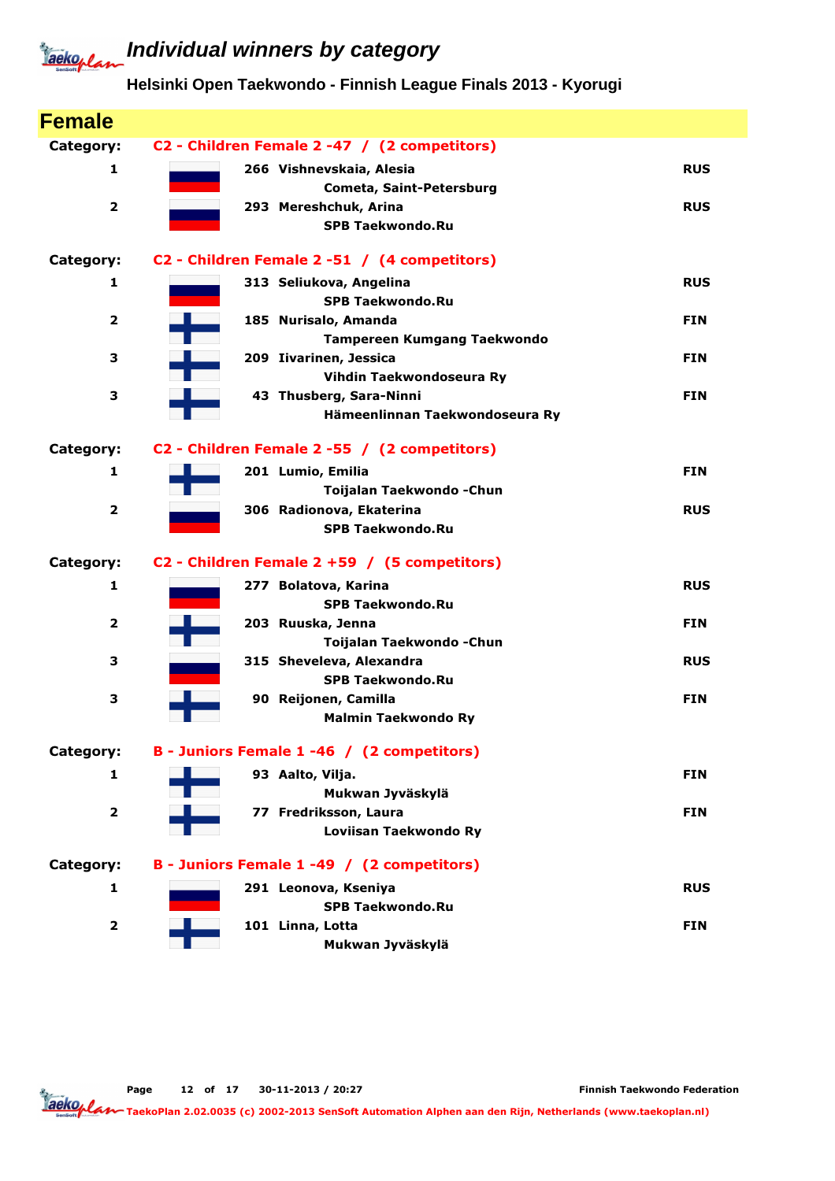### **Individual winners by category**

### **Helsinki Open Taekwondo - Finnish League Finals 2013 - Kyorugi**

| <b>Female</b>           |                                              |            |
|-------------------------|----------------------------------------------|------------|
| Category:               | C2 - Children Female 2 -47 / (2 competitors) |            |
| 1                       | 266 Vishnevskaia, Alesia                     | <b>RUS</b> |
|                         | Cometa, Saint-Petersburg                     |            |
| $\overline{\mathbf{2}}$ | 293 Mereshchuk, Arina                        | <b>RUS</b> |
|                         | <b>SPB Taekwondo.Ru</b>                      |            |
| Category:               | C2 - Children Female 2 -51 / (4 competitors) |            |
| 1                       | 313 Seliukova, Angelina                      | <b>RUS</b> |
|                         | <b>SPB Taekwondo.Ru</b>                      |            |
| $\overline{\mathbf{2}}$ | 185 Nurisalo, Amanda                         | <b>FIN</b> |
|                         | <b>Tampereen Kumgang Taekwondo</b>           |            |
| 3                       | 209 Iivarinen, Jessica                       | <b>FIN</b> |
|                         | Vihdin Taekwondoseura Ry                     |            |
| 3                       | 43 Thusberg, Sara-Ninni                      | <b>FIN</b> |
|                         | Hämeenlinnan Taekwondoseura Ry               |            |
| Category:               | C2 - Children Female 2 -55 / (2 competitors) |            |
| $\mathbf{1}$            | 201 Lumio, Emilia                            | <b>FIN</b> |
|                         | Toijalan Taekwondo - Chun                    |            |
| $\overline{2}$          | 306 Radionova, Ekaterina                     | <b>RUS</b> |
|                         | <b>SPB Taekwondo.Ru</b>                      |            |
| Category:               | C2 - Children Female 2 +59 / (5 competitors) |            |
| 1                       | 277 Bolatova, Karina                         | <b>RUS</b> |
|                         | <b>SPB Taekwondo.Ru</b>                      |            |
| $\overline{\mathbf{2}}$ | 203 Ruuska, Jenna                            | <b>FIN</b> |
|                         | Toijalan Taekwondo - Chun                    |            |
| з                       | 315 Sheveleva, Alexandra                     | <b>RUS</b> |
|                         | <b>SPB Taekwondo.Ru</b>                      |            |
| 3                       | 90 Reijonen, Camilla                         | <b>FIN</b> |
|                         | <b>Malmin Taekwondo Ry</b>                   |            |
| Category:               | B - Juniors Female 1 -46 / (2 competitors)   |            |
| 1                       | 93 Aalto, Vilja.                             | <b>FIN</b> |
|                         | Mukwan Jyväskylä                             |            |
| $\overline{\mathbf{2}}$ | 77 Fredriksson, Laura                        | <b>FIN</b> |
|                         | Loviisan Taekwondo Ry                        |            |
| Category:               | B - Juniors Female 1 -49 / (2 competitors)   |            |
| 1                       | 291 Leonova, Kseniya                         | <b>RUS</b> |
|                         | <b>SPB Taekwondo.Ru</b>                      |            |
| $\mathbf 2$             | 101 Linna, Lotta                             | <b>FIN</b> |
|                         | Mukwan Jyväskylä                             |            |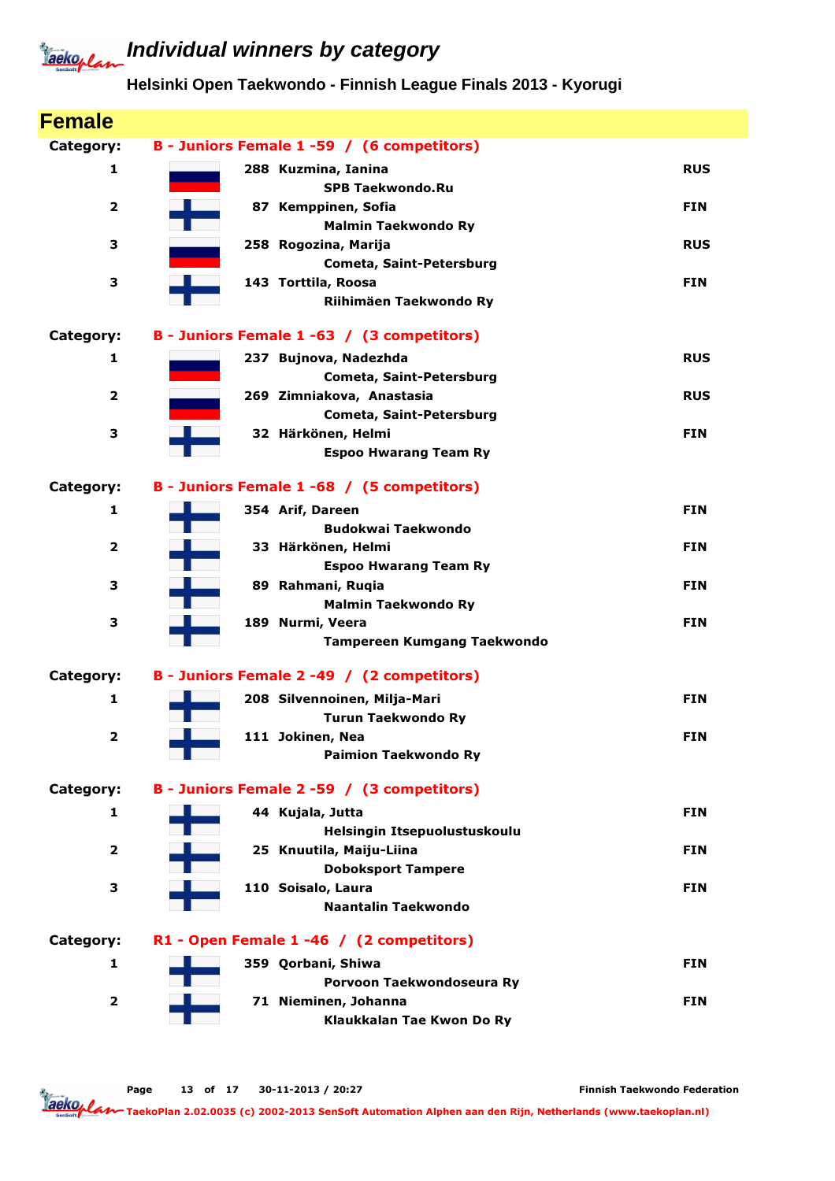### **Individual winners by category**

### **Helsinki Open Taekwondo - Finnish League Finals 2013 - Kyorugi**

| <b>Female</b>           |                                                    |            |
|-------------------------|----------------------------------------------------|------------|
| Category:               | B - Juniors Female 1 -59 / (6 competitors)         |            |
| 1                       | 288 Kuzmina, Ianina                                | <b>RUS</b> |
|                         | <b>SPB Taekwondo.Ru</b>                            |            |
| $\overline{\mathbf{2}}$ | 87 Kemppinen, Sofia                                | <b>FIN</b> |
| 3                       | <b>Malmin Taekwondo Ry</b><br>258 Rogozina, Marija | <b>RUS</b> |
|                         | Cometa, Saint-Petersburg                           |            |
| 3                       | 143 Torttila, Roosa                                | <b>FIN</b> |
|                         | Riihimäen Taekwondo Ry                             |            |
| Category:               | B - Juniors Female 1 -63 / (3 competitors)         |            |
| 1                       | 237 Bujnova, Nadezhda                              | <b>RUS</b> |
|                         | Cometa, Saint-Petersburg                           |            |
| $\mathbf{2}$            | 269 Zimniakova, Anastasia                          | <b>RUS</b> |
|                         | Cometa, Saint-Petersburg<br>32 Härkönen, Helmi     |            |
| 3                       | <b>Espoo Hwarang Team Ry</b>                       | <b>FIN</b> |
|                         |                                                    |            |
| Category:               | B - Juniors Female 1 -68 / (5 competitors)         |            |
| $\mathbf{1}$            | 354 Arif, Dareen                                   | <b>FIN</b> |
|                         | <b>Budokwai Taekwondo</b>                          |            |
| $\mathbf{2}$            | 33 Härkönen, Helmi                                 | <b>FIN</b> |
| 3                       | <b>Espoo Hwarang Team Ry</b><br>89 Rahmani, Ruqia  | <b>FIN</b> |
|                         | <b>Malmin Taekwondo Ry</b>                         |            |
| 3                       | 189 Nurmi, Veera                                   | <b>FIN</b> |
|                         | <b>Tampereen Kumgang Taekwondo</b>                 |            |
| Category:               | B - Juniors Female 2 -49 / (2 competitors)         |            |
| 1                       | 208 Silvennoinen, Milja-Mari                       | <b>FIN</b> |
|                         | <b>Turun Taekwondo Ry</b>                          |            |
| 2                       | 111 Jokinen, Nea                                   | <b>FIN</b> |
|                         | <b>Paimion Taekwondo Ry</b>                        |            |
| Category:               | B - Juniors Female 2 -59 / (3 competitors)         |            |
| $\mathbf{1}$            | 44 Kujala, Jutta                                   | <b>FIN</b> |
|                         | Helsingin Itsepuolustuskoulu                       |            |
| $\overline{\mathbf{2}}$ | 25 Knuutila, Maiju-Liina                           | <b>FIN</b> |
| 3                       | <b>Doboksport Tampere</b><br>110 Soisalo, Laura    | <b>FIN</b> |
|                         | Naantalin Taekwondo                                |            |
|                         |                                                    |            |
| Category:               | R1 - Open Female 1 -46 / (2 competitors)           |            |
| 1                       | 359 Qorbani, Shiwa<br>Porvoon Taekwondoseura Ry    | <b>FIN</b> |
| $\overline{\mathbf{2}}$ | 71 Nieminen, Johanna                               | <b>FIN</b> |
|                         | Klaukkalan Tae Kwon Do Ry                          |            |

Page 13 of 17 30-11-2013 / 20:27

Finnish Taekwondo Federation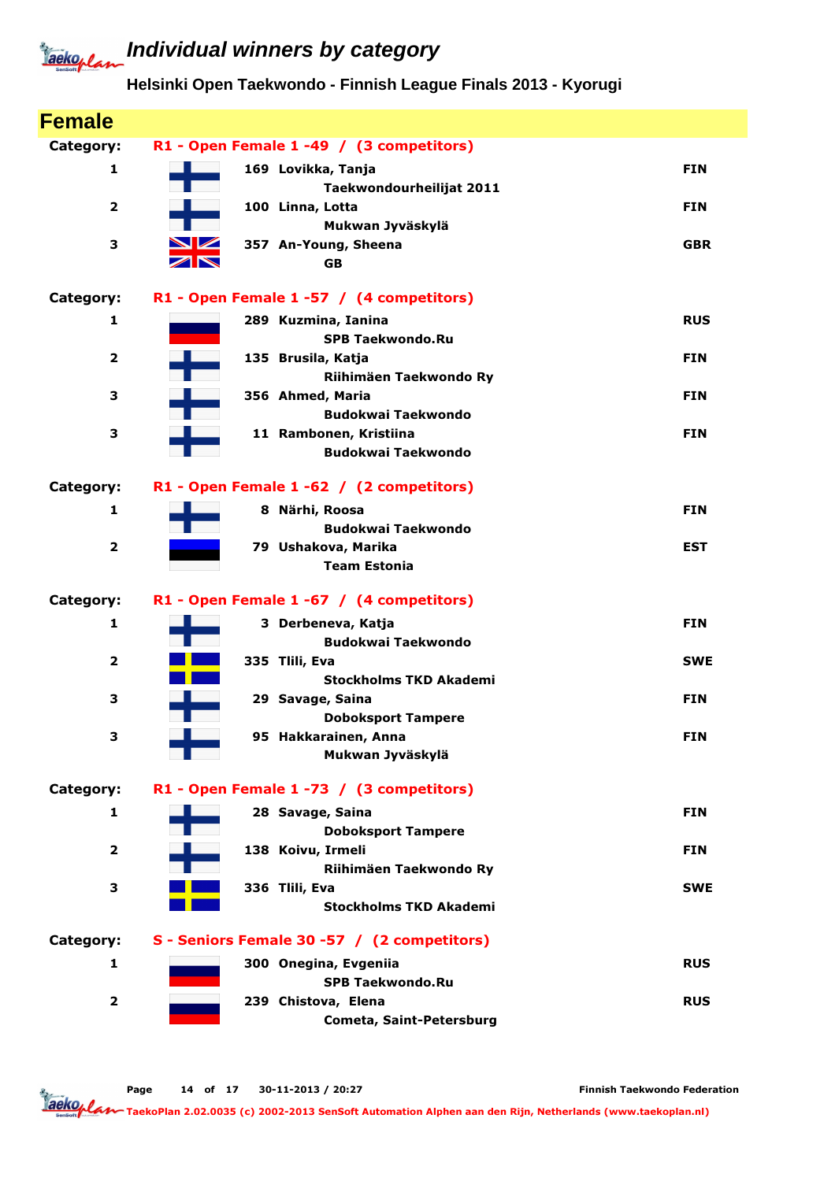## **Individual winners by category**

#### **Helsinki Open Taekwondo - Finnish League Finals 2013 - Kyorugi**

| <b>Female</b>           |                                                       |            |
|-------------------------|-------------------------------------------------------|------------|
| Category:               | R1 - Open Female 1 -49 / (3 competitors)              |            |
| 1                       | 169 Lovikka, Tanja<br>Taekwondourheilijat 2011        | <b>FIN</b> |
| 2                       | 100 Linna, Lotta                                      | <b>FIN</b> |
| 3                       | Mukwan Jyväskylä<br><b>NZ</b><br>357 An-Young, Sheena | <b>GBR</b> |
|                         | $\nabla$<br><b>GB</b>                                 |            |
| Category:               | R1 - Open Female 1 -57 / (4 competitors)              |            |
| 1                       | 289 Kuzmina, Ianina<br><b>SPB Taekwondo.Ru</b>        | <b>RUS</b> |
| $\overline{\mathbf{2}}$ | 135 Brusila, Katja                                    | <b>FIN</b> |
| 3                       | Riihimäen Taekwondo Ry<br>356 Ahmed, Maria            | <b>FIN</b> |
|                         | <b>Budokwai Taekwondo</b>                             |            |
| З                       | 11 Rambonen, Kristiina                                | <b>FIN</b> |
|                         | <b>Budokwai Taekwondo</b>                             |            |
| Category:               | R1 - Open Female 1 -62 / (2 competitors)              |            |
| 1                       | 8 Närhi, Roosa                                        | <b>FIN</b> |
|                         | <b>Budokwai Taekwondo</b>                             |            |
| $\overline{2}$          | 79 Ushakova, Marika<br><b>Team Estonia</b>            | <b>EST</b> |
| Category:               | R1 - Open Female 1 -67 / (4 competitors)              |            |
| 1                       | 3 Derbeneva, Katja                                    | <b>FIN</b> |
|                         | <b>Budokwai Taekwondo</b>                             |            |
| 2                       | 335 Tlili, Eva                                        | <b>SWE</b> |
|                         | <b>Stockholms TKD Akademi</b>                         |            |
| З                       | 29 Savage, Saina                                      | <b>FIN</b> |
| з                       | <b>Doboksport Tampere</b><br>95 Hakkarainen, Anna     | <b>FIN</b> |
|                         | Mukwan Jyväskylä                                      |            |
| Category:               | R1 - Open Female 1 -73 / (3 competitors)              |            |
| 1                       | 28 Savage, Saina<br><b>Doboksport Tampere</b>         | <b>FIN</b> |
| $\mathbf{2}$            | 138 Koivu, Irmeli                                     | <b>FIN</b> |
| З                       | Riihimäen Taekwondo Ry<br>336 Tlili, Eva              | <b>SWE</b> |
|                         | <b>Stockholms TKD Akademi</b>                         |            |
| Category:               | S - Seniors Female 30 -57 / (2 competitors)           |            |
| 1                       | 300 Onegina, Evgeniia                                 | <b>RUS</b> |
|                         | <b>SPB Taekwondo.Ru</b>                               |            |
|                         |                                                       |            |
| $\overline{\mathbf{2}}$ | 239 Chistova, Elena<br>Cometa, Saint-Petersburg       | <b>RUS</b> |

Page 14 of 17 30-11-2013 / 20:27

Finnish Taekwondo Federation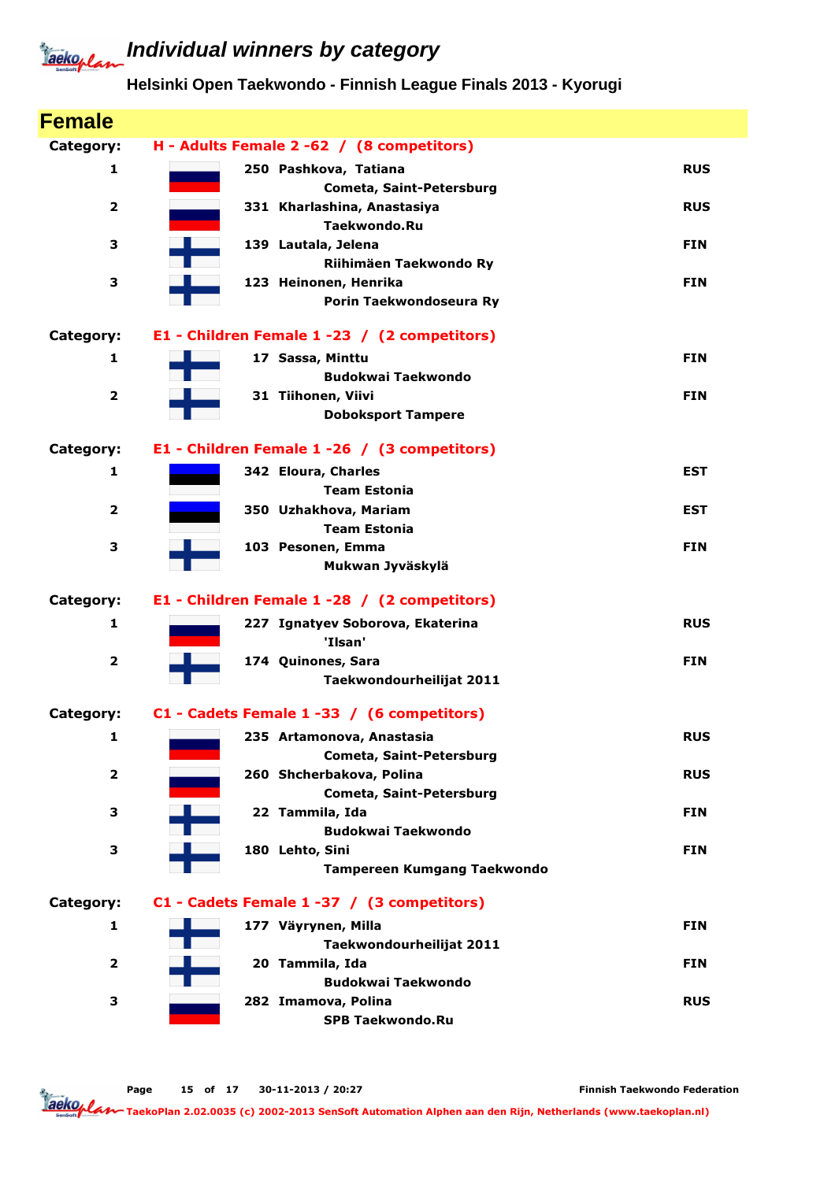### **Helsinki Open Taekwondo - Finnish League Finals 2013 - Kyorugi**

| <b>Female</b>           |                                                       |            |
|-------------------------|-------------------------------------------------------|------------|
| Category:               | H - Adults Female 2 -62 / (8 competitors)             |            |
| $\mathbf{1}$            | 250 Pashkova, Tatiana<br>Cometa, Saint-Petersburg     | <b>RUS</b> |
| $\overline{\mathbf{2}}$ | 331 Kharlashina, Anastasiya<br><b>Taekwondo.Ru</b>    | <b>RUS</b> |
| 3                       | 139 Lautala, Jelena<br>Riihimäen Taekwondo Ry         | <b>FIN</b> |
| 3                       | 123 Heinonen, Henrika<br>Porin Taekwondoseura Ry      | <b>FIN</b> |
| Category:               | E1 - Children Female 1 -23 / (2 competitors)          |            |
| 1                       | 17 Sassa, Minttu<br><b>Budokwai Taekwondo</b>         | <b>FIN</b> |
| $\overline{\mathbf{2}}$ | 31 Tiihonen, Viivi<br><b>Doboksport Tampere</b>       | <b>FIN</b> |
| Category:               | E1 - Children Female 1 -26 / (3 competitors)          |            |
| 1                       | 342 Eloura, Charles<br><b>Team Estonia</b>            | <b>EST</b> |
| $\overline{\mathbf{2}}$ | 350 Uzhakhova, Mariam<br><b>Team Estonia</b>          | EST        |
| 3                       | 103 Pesonen, Emma<br>Mukwan Jyväskylä                 | <b>FIN</b> |
| Category:               | E1 - Children Female 1 -28 / (2 competitors)          |            |
| 1                       | 227 Ignatyev Soborova, Ekaterina<br>'Ilsan'           | <b>RUS</b> |
| $\overline{\mathbf{2}}$ | 174 Quinones, Sara<br>Taekwondourheilijat 2011        | <b>FIN</b> |
| Category:               | C1 - Cadets Female 1 -33 / (6 competitors)            |            |
| $\mathbf{1}$            | 235 Artamonova, Anastasia<br>Cometa, Saint-Petersburg | <b>RUS</b> |
| $\overline{\mathbf{2}}$ | 260 Shcherbakova, Polina<br>Cometa, Saint-Petersburg  | <b>RUS</b> |
| 3                       | 22 Tammila, Ida<br><b>Budokwai Taekwondo</b>          | <b>FIN</b> |
| 3                       | 180 Lehto, Sini<br><b>Tampereen Kumgang Taekwondo</b> | <b>FIN</b> |
| Category:               | C1 - Cadets Female 1 -37 / (3 competitors)            |            |
| 1                       | 177 Väyrynen, Milla<br>Taekwondourheilijat 2011       | <b>FIN</b> |
| $\overline{2}$          | 20 Tammila, Ida<br><b>Budokwai Taekwondo</b>          | <b>FIN</b> |
| 3                       | 282 Imamova, Polina<br><b>SPB Taekwondo.Ru</b>        | <b>RUS</b> |

Page 15 of 17 30-11-2013 / 20:27

Finnish Taekwondo Federation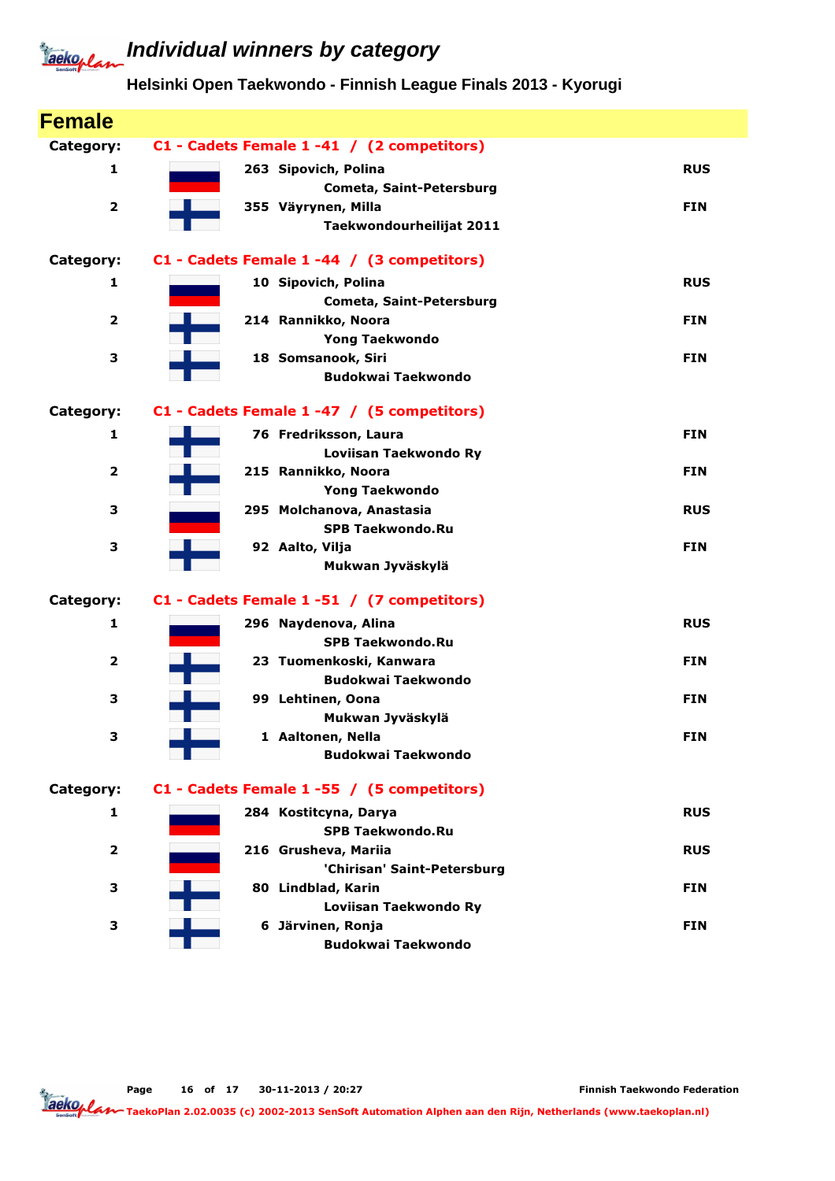### **Individual winners by category**

### **Helsinki Open Taekwondo - Finnish League Finals 2013 - Kyorugi**

| <b>Female</b>           |                                                |            |
|-------------------------|------------------------------------------------|------------|
| Category:               | C1 - Cadets Female 1 -41 / (2 competitors)     |            |
| 1                       | 263 Sipovich, Polina                           | <b>RUS</b> |
|                         | <b>Cometa, Saint-Petersburg</b>                |            |
| $\overline{\mathbf{2}}$ | 355 Väyrynen, Milla                            | <b>FIN</b> |
|                         | Taekwondourheilijat 2011                       |            |
| Category:               | C1 - Cadets Female 1 -44 / (3 competitors)     |            |
| 1                       | 10 Sipovich, Polina                            | <b>RUS</b> |
|                         | Cometa, Saint-Petersburg                       |            |
| $\mathbf{2}$            | 214 Rannikko, Noora                            | <b>FIN</b> |
|                         | <b>Yong Taekwondo</b>                          |            |
| 3                       | 18 Somsanook, Siri                             | <b>FIN</b> |
|                         | <b>Budokwai Taekwondo</b>                      |            |
| Category:               | C1 - Cadets Female 1 -47 / (5 competitors)     |            |
| 1                       | 76 Fredriksson, Laura                          | <b>FIN</b> |
|                         | Loviisan Taekwondo Ry                          |            |
| $\mathbf{2}$            | 215 Rannikko, Noora                            | <b>FIN</b> |
|                         | <b>Yong Taekwondo</b>                          |            |
| 3                       | 295 Molchanova, Anastasia                      | <b>RUS</b> |
|                         | <b>SPB Taekwondo.Ru</b>                        |            |
| 3                       | 92 Aalto, Vilja                                | <b>FIN</b> |
|                         | Mukwan Jyväskylä                               |            |
| Category:               | C1 - Cadets Female 1 -51 / (7 competitors)     |            |
| 1                       | 296 Naydenova, Alina                           | <b>RUS</b> |
|                         | <b>SPB Taekwondo.Ru</b>                        |            |
| $\overline{2}$          | 23 Tuomenkoski, Kanwara                        | <b>FIN</b> |
|                         | <b>Budokwai Taekwondo</b>                      |            |
| 3                       | 99 Lehtinen, Oona                              | <b>FIN</b> |
|                         | Mukwan Jyväskylä                               |            |
| 3                       | 1 Aaltonen, Nella<br><b>Budokwai Taekwondo</b> | <b>FIN</b> |
|                         |                                                |            |
| Category:               | C1 - Cadets Female 1 -55 / (5 competitors)     |            |
| 1                       | 284 Kostitcyna, Darya                          | <b>RUS</b> |
|                         | <b>SPB Taekwondo.Ru</b>                        |            |
| $\overline{2}$          | 216 Grusheva, Mariia                           | <b>RUS</b> |
|                         | 'Chirisan' Saint-Petersburg                    |            |
| з                       | 80 Lindblad, Karin                             | <b>FIN</b> |
|                         | Loviisan Taekwondo Ry                          |            |
| 3                       | 6 Järvinen, Ronja<br><b>Budokwai Taekwondo</b> | <b>FIN</b> |
|                         |                                                |            |